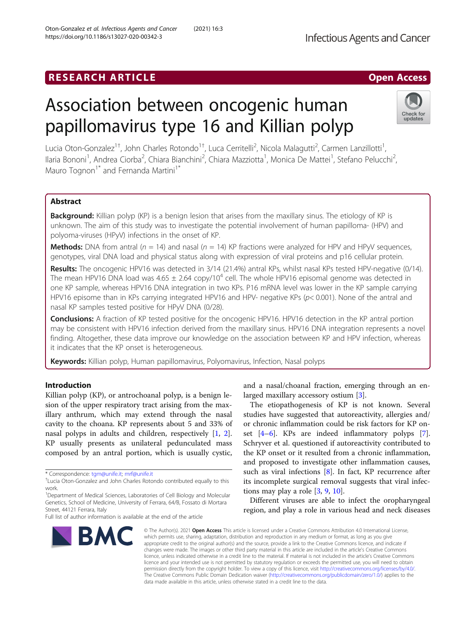# Association between oncogenic human papillomavirus type 16 and Killian polyp

Lucia Oton-Gonzalez<sup>1†</sup>, John Charles Rotondo<sup>1†</sup>, Luca Cerritelli<sup>2</sup>, Nicola Malagutti<sup>2</sup>, Carmen Lanzillotti<sup>1</sup> , Ilaria Bononi<sup>1</sup>, Andrea Ciorba<sup>2</sup>, Chiara Bianchini<sup>2</sup>, Chiara Mazziotta<sup>1</sup>, Monica De Mattei<sup>1</sup>, Stefano Pelucchi<sup>2</sup> .<br>, Mauro Tognon<sup>1\*</sup> and Fernanda Martini<sup>1\*</sup>

# Abstract

**Background:** Killian polyp (KP) is a benign lesion that arises from the maxillary sinus. The etiology of KP is unknown. The aim of this study was to investigate the potential involvement of human papilloma- (HPV) and polyoma-viruses (HPyV) infections in the onset of KP.

**Methods:** DNA from antral ( $n = 14$ ) and nasal ( $n = 14$ ) KP fractions were analyzed for HPV and HPyV sequences, genotypes, viral DNA load and physical status along with expression of viral proteins and p16 cellular protein.

Results: The oncogenic HPV16 was detected in 3/14 (21.4%) antral KPs, whilst nasal KPs tested HPV-negative (0/14). The mean HPV16 DNA load was 4.65  $\pm$  2.64 copy/10<sup>4</sup> cell. The whole HPV16 episomal genome was detected in one KP sample, whereas HPV16 DNA integration in two KPs. P16 mRNA level was lower in the KP sample carrying HPV16 episome than in KPs carrying integrated HPV16 and HPV- negative KPs (p< 0.001). None of the antral and nasal KP samples tested positive for HPyV DNA (0/28).

**Conclusions:** A fraction of KP tested positive for the oncogenic HPV16. HPV16 detection in the KP antral portion may be consistent with HPV16 infection derived from the maxillary sinus. HPV16 DNA integration represents a novel finding. Altogether, these data improve our knowledge on the association between KP and HPV infection, whereas it indicates that the KP onset is heterogeneous.

Keywords: Killian polyp, Human papillomavirus, Polyomavirus, Infection, Nasal polyps

# Introduction

Killian polyp (KP), or antrochoanal polyp, is a benign lesion of the upper respiratory tract arising from the maxillary anthrum, which may extend through the nasal cavity to the choana. KP represents about 5 and 33% of nasal polyps in adults and children, respectively [[1,](#page-6-0) [2](#page-6-0)]. KP usually presents as unilateral pedunculated mass composed by an antral portion, which is usually cystic,

and a nasal/choanal fraction, emerging through an enlarged maxillary accessory ostium [[3](#page-6-0)].

The etiopathogenesis of KP is not known. Several studies have suggested that autoreactivity, allergies and/ or chronic inflammation could be risk factors for KP onset  $[4-6]$  $[4-6]$  $[4-6]$ . KPs are indeed inflammatory polyps  $[7]$  $[7]$ . Schryver et al. questioned if autoreactivity contributed to the KP onset or it resulted from a chronic inflammation, and proposed to investigate other inflammation causes, such as viral infections [\[8](#page-6-0)]. In fact, KP recurrence after its incomplete surgical removal suggests that viral infections may play a role [\[3](#page-6-0), [9](#page-6-0), [10](#page-6-0)].

Different viruses are able to infect the oropharyngeal region, and play a role in various head and neck diseases

**Infectious Agents and Cancer** 

© The Author(s), 2021 **Open Access** This article is licensed under a Creative Commons Attribution 4.0 International License, which permits use, sharing, adaptation, distribution and reproduction in any medium or format, as long as you give appropriate credit to the original author(s) and the source, provide a link to the Creative Commons licence, and indicate if changes were made. The images or other third party material in this article are included in the article's Creative Commons licence, unless indicated otherwise in a credit line to the material. If material is not included in the article's Creative Commons licence and your intended use is not permitted by statutory regulation or exceeds the permitted use, you will need to obtain permission directly from the copyright holder. To view a copy of this licence, visit [http://creativecommons.org/licenses/by/4.0/.](http://creativecommons.org/licenses/by/4.0/) The Creative Commons Public Domain Dedication waiver [\(http://creativecommons.org/publicdomain/zero/1.0/](http://creativecommons.org/publicdomain/zero/1.0/)) applies to the data made available in this article, unless otherwise stated in a credit line to the data.





<sup>\*</sup> Correspondence: [tgm@unife.it](mailto:tgm@unife.it); [mrf@unife.it](mailto:mrf@unife.it) †

Lucia Oton-Gonzalez and John Charles Rotondo contributed equally to this work.

<sup>&</sup>lt;sup>1</sup>Department of Medical Sciences, Laboratories of Cell Biology and Molecular Genetics, School of Medicine, University of Ferrara, 64/B, Fossato di Mortara Street, 44121 Ferrara, Italy

Full list of author information is available at the end of the article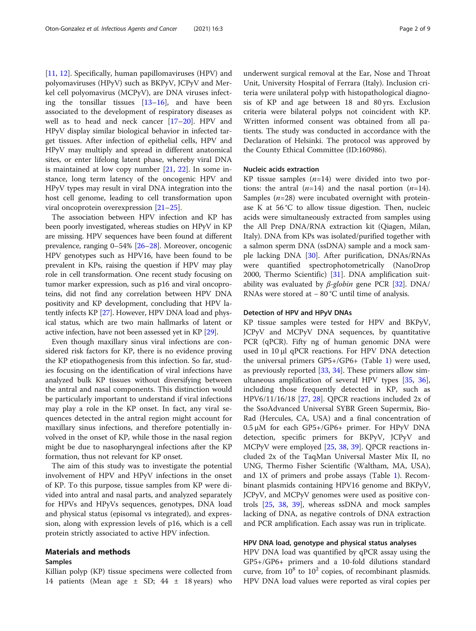[[11,](#page-6-0) [12\]](#page-6-0). Specifically, human papillomaviruses (HPV) and polyomaviruses (HPyV) such as BKPyV, JCPyV and Merkel cell polyomavirus (MCPyV), are DNA viruses infecting the tonsillar tissues  $[13-16]$  $[13-16]$  $[13-16]$  $[13-16]$ , and have been associated to the development of respiratory diseases as well as to head and neck cancer [\[17](#page-6-0)–[20\]](#page-6-0). HPV and HPyV display similar biological behavior in infected target tissues. After infection of epithelial cells, HPV and HPyV may multiply and spread in different anatomical sites, or enter lifelong latent phase, whereby viral DNA is maintained at low copy number [\[21,](#page-6-0) [22\]](#page-7-0). In some instance, long term latency of the oncogenic HPV and HPyV types may result in viral DNA integration into the host cell genome, leading to cell transformation upon viral oncoprotein overexpression [[21](#page-6-0)–[25](#page-7-0)].

The association between HPV infection and KP has been poorly investigated, whereas studies on HPyV in KP are missing. HPV sequences have been found at different prevalence, ranging 0–54% [[26](#page-7-0)–[28\]](#page-7-0). Moreover, oncogenic HPV genotypes such as HPV16, have been found to be prevalent in KPs, raising the question if HPV may play role in cell transformation. One recent study focusing on tumor marker expression, such as p16 and viral oncoproteins, did not find any correlation between HPV DNA positivity and KP development, concluding that HPV latently infects KP [[27\]](#page-7-0). However, HPV DNA load and physical status, which are two main hallmarks of latent or active infection, have not been assessed yet in KP [\[29](#page-7-0)].

Even though maxillary sinus viral infections are considered risk factors for KP, there is no evidence proving the KP etiopathogenesis from this infection. So far, studies focusing on the identification of viral infections have analyzed bulk KP tissues without diversifying between the antral and nasal components. This distinction would be particularly important to understand if viral infections may play a role in the KP onset. In fact, any viral sequences detected in the antral region might account for maxillary sinus infections, and therefore potentially involved in the onset of KP, while those in the nasal region might be due to nasopharyngeal infections after the KP formation, thus not relevant for KP onset.

The aim of this study was to investigate the potential involvement of HPV and HPyV infections in the onset of KP. To this purpose, tissue samples from KP were divided into antral and nasal parts, and analyzed separately for HPVs and HPyVs sequences, genotypes, DNA load and physical status (episomal vs integrated), and expression, along with expression levels of p16, which is a cell protein strictly associated to active HPV infection.

# Materials and methods

# Samples

Killian polyp (KP) tissue specimens were collected from 14 patients (Mean age  $\pm$  SD; 44  $\pm$  18 years) who underwent surgical removal at the Ear, Nose and Throat Unit, University Hospital of Ferrara (Italy). Inclusion criteria were unilateral polyp with histopathological diagnosis of KP and age between 18 and 80 yrs. Exclusion criteria were bilateral polyps not coincident with KP. Written informed consent was obtained from all patients. The study was conducted in accordance with the Declaration of Helsinki. The protocol was approved by the County Ethical Committee (ID:160986).

# Nucleic acids extraction

KP tissue samples  $(n=14)$  were divided into two portions: the antral  $(n=14)$  and the nasal portion  $(n=14)$ . Samples  $(n=28)$  were incubated overnight with proteinase K at 56 °C to allow tissue digestion. Then, nucleic acids were simultaneously extracted from samples using the All Prep DNA/RNA extraction kit (Qiagen, Milan, Italy). DNA from KPs was isolated/purified together with a salmon sperm DNA (ssDNA) sample and a mock sample lacking DNA [\[30](#page-7-0)]. After purification, DNAs/RNAs were quantified spectrophotometrically (NanoDrop 2000, Thermo Scientific) [[31\]](#page-7-0). DNA amplification suitability was evaluated by  $β$ -globin gene PCR [\[32](#page-7-0)]. DNA/ RNAs were stored at − 80 °C until time of analysis.

#### Detection of HPV and HPyV DNAs

KP tissue samples were tested for HPV and BKPyV, JCPyV and MCPyV DNA sequences, by quantitative PCR (qPCR). Fifty ng of human genomic DNA were used in 10 μl qPCR reactions. For HPV DNA detection the universal primers GP5+/GP6+ (Table [1](#page-2-0)) were used, as previously reported [\[33](#page-7-0), [34\]](#page-7-0). These primers allow simultaneous amplification of several HPV types [[35](#page-7-0), [36](#page-7-0)], including those frequently detected in KP, such as HPV6/11/16/18 [\[27,](#page-7-0) [28](#page-7-0)]. QPCR reactions included 2x of the SsoAdvanced Universal SYBR Green Supermix, Bio-Rad (Hercules, CA, USA) and a final concentration of 0.5 μM for each GP5+/GP6+ primer. For HPyV DNA detection, specific primers for BKPyV, JCPyV and MCPyV were employed [[25,](#page-7-0) [38,](#page-7-0) [39](#page-7-0)]. QPCR reactions included 2x of the TaqMan Universal Master Mix II, no UNG, Thermo Fisher Scientific (Waltham, MA, USA), and 1X of primers and probe assays (Table [1](#page-2-0)). Recombinant plasmids containing HPV16 genome and BKPyV, JCPyV, and MCPyV genomes were used as positive controls [\[25](#page-7-0), [38](#page-7-0), [39](#page-7-0)], whereas ssDNA and mock samples lacking of DNA, as negative controls of DNA extraction and PCR amplification. Each assay was run in triplicate.

# HPV DNA load, genotype and physical status analyses

HPV DNA load was quantified by qPCR assay using the GP5+/GP6+ primers and a 10-fold dilutions standard curve, from  $10^8$  to  $10^2$  copies, of recombinant plasmids. HPV DNA load values were reported as viral copies per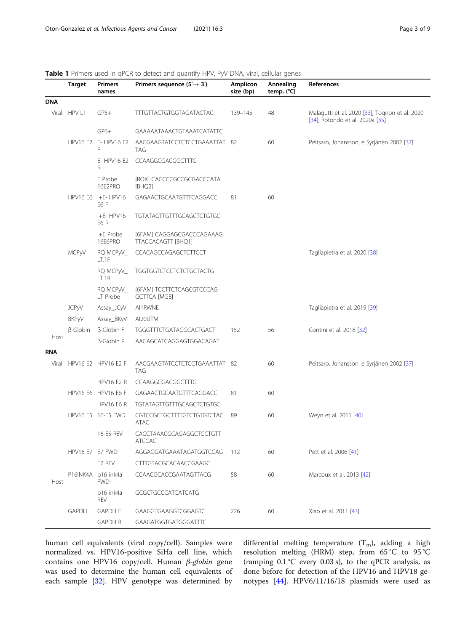<span id="page-2-0"></span>

|  |  |  | Table 1 Primers used in qPCR to detect and quantify HPV, PyV DNA, viral, cellular genes |
|--|--|--|-----------------------------------------------------------------------------------------|
|--|--|--|-----------------------------------------------------------------------------------------|

|            | Target          | <b>Primers</b><br>names          | Primers sequence $(5' \rightarrow 3')$           | Amplicon<br>size (bp) | Annealing<br>temp. (°C) | References                                                                        |  |
|------------|-----------------|----------------------------------|--------------------------------------------------|-----------------------|-------------------------|-----------------------------------------------------------------------------------|--|
| <b>DNA</b> |                 |                                  |                                                  |                       |                         |                                                                                   |  |
| Viral      | HPV L1          | $GP5+$                           | <b>TTTGTTACTGTGGTAGATACTAC</b>                   | 139-145               | 48                      | Malagutti et al. 2020 [33]; Tognon et al. 2020<br>[34]; Rotondo et al. 2020a [35] |  |
|            |                 | $GP6+$                           | GAAAAATAAACTGTAAATCATATTC                        |                       |                         |                                                                                   |  |
|            |                 | HPV16 E2 E-HPV16 E2<br>F         | AACGAAGTATCCTCTCCTGAAATTAT 82<br>TAG             |                       | 60                      | Peitsaro, Johansson, e Syrjänen 2002 [37]                                         |  |
|            |                 | E- HPV16 E2<br>R                 | CCAAGGCGACGGCTTTG                                |                       |                         |                                                                                   |  |
|            |                 | E Probe<br>16E2PRO               | [ROX] CACCCCGCCGCGACCCATA<br>[BHQ2]              |                       |                         |                                                                                   |  |
|            |                 | HPV16 E6 I+E-HPV16<br>E6 F       | GAGAACTGCAATGTTTCAGGACC                          | 81                    | 60                      |                                                                                   |  |
|            |                 | I+E-HPV16<br>E6R                 | <b>TGTATAGTTGTTTGCAGCTCTGTGC</b>                 |                       |                         |                                                                                   |  |
|            |                 | I+E Probe<br>16E6PRO             | [6FAM] CAGGAGCGACCCAGAAAG<br>TTACCACAGTT [BHQ1]  |                       |                         |                                                                                   |  |
|            | MCPyV           | RQ MCPyV_<br>LT.1F               | CCACAGCCAGAGCTCTTCCT                             |                       |                         | Tagliapietra et al. 2020 [38]                                                     |  |
|            |                 | RQ MCPyV_<br>LT.1R               | <b>TGGTGGTCTCCTCTCTGCTACTG</b>                   |                       |                         |                                                                                   |  |
|            |                 | RQ MCPyV_<br>LT Probe            | [6FAM] TCCTTCTCAGCGTCCCAG<br><b>GCTTCA [MGB]</b> |                       |                         |                                                                                   |  |
|            | <b>JCPyV</b>    | Assay_JCyV                       | AI1RWNE                                          |                       |                         | Tagliapietra et al. 2019 [39]                                                     |  |
|            | <b>BKPyV</b>    | Assay_BKyV                       | AI20UTM                                          |                       |                         |                                                                                   |  |
| Host       | $\beta$ -Globin | β-Globin F                       | TGGGTTTCTGATAGGCACTGACT                          | 152                   | 56                      | Contini et al. 2018 [32]                                                          |  |
|            |                 | β-Globin R                       | AACAGCATCAGGAGTGGACAGAT                          |                       |                         |                                                                                   |  |
| RNA        |                 |                                  |                                                  |                       |                         |                                                                                   |  |
| Viral      |                 | HPV16 E2 HPV16 E2 F              | AACGAAGTATCCTCTCCTGAAATTAT 82<br>TAG             |                       | 60                      | Peitsaro, Johansson, e Syrjänen 2002 [37]                                         |  |
|            |                 | <b>HPV16 E2 R</b>                | CCAAGGCGACGGCTTTG                                |                       |                         |                                                                                   |  |
|            |                 | HPV16 E6 HPV16 E6 F              | GAGAACTGCAATGTTTCAGGACC                          | 81                    | 60                      |                                                                                   |  |
|            |                 | <b>HPV16 E6 R</b>                | <b>TGTATAGTTGTTTGCAGCTCTGTGC</b>                 |                       |                         |                                                                                   |  |
|            |                 | HPV16 E5 16-E5 FWD               | CGTCCGCTGCTTTTGTCTGTGTCTAC<br>ATAC               | 89                    | 60                      | Weyn et al. 2011 [40]                                                             |  |
|            |                 | 16-E5 REV                        | CACCTAAACGCAGAGGCTGCTGTT<br><b>ATCCAC</b>        |                       |                         |                                                                                   |  |
|            | HPV16 E7 E7 FWD |                                  | AGGAGGATGAAATAGATGGTCCAG                         | 112                   | 60                      | Pett et al. 2006 [41]                                                             |  |
|            |                 | E7 REV                           | CTTTGTACGCACAACCGAAGC                            |                       |                         |                                                                                   |  |
| Host       |                 | P16INK4A p16 ink4a<br><b>FWD</b> | CCAACGCACCGAATAGTTACG                            | 58                    | 60                      | Marcoux et al. 2013 [42]                                                          |  |
|            |                 | p16 ink4a<br>REV                 | <b>GCGCTGCCCATCATCATG</b>                        |                       |                         |                                                                                   |  |
|            | <b>GAPDH</b>    | <b>GAPDH F</b>                   | GAAGGTGAAGGTCGGAGTC                              | 226                   | 60                      | Xiao et al. 2011 [43]                                                             |  |
|            |                 | <b>GAPDH R</b>                   | GAAGATGGTGATGGGATTTC                             |                       |                         |                                                                                   |  |

human cell equivalents (viral copy/cell). Samples were normalized vs. HPV16-positive SiHa cell line, which contains one HPV16 copy/cell. Human <sup>β</sup>-globin gene was used to determine the human cell equivalents of each sample [[32](#page-7-0)]. HPV genotype was determined by

differential melting temperature  $(T_m)$ , adding a high resolution melting (HRM) step, from 65 °C to 95 °C (ramping 0.1 °C every 0.03 s), to the qPCR analysis, as done before for detection of the HPV16 and HPV18 genotypes [[44](#page-7-0)]. HPV6/11/16/18 plasmids were used as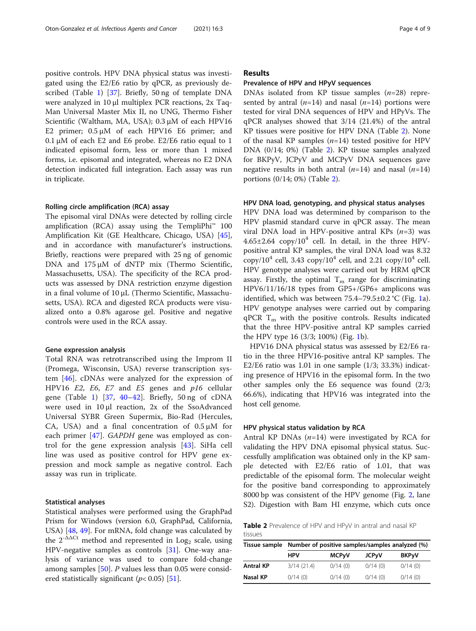positive controls. HPV DNA physical status was investigated using the E2/E6 ratio by qPCR, as previously described (Table [1](#page-2-0)) [\[37\]](#page-7-0). Briefly, 50 ng of template DNA were analyzed in 10 μl multiplex PCR reactions, 2x Taq-Man Universal Master Mix II, no UNG, Thermo Fisher Scientific (Waltham, MA, USA); 0.3 μM of each HPV16 E2 primer; 0.5 μM of each HPV16 E6 primer; and 0.1 μM of each E2 and E6 probe. E2/E6 ratio equal to 1 indicated episomal form, less or more than 1 mixed forms, i.e. episomal and integrated, whereas no E2 DNA detection indicated full integration. Each assay was run in triplicate.

## Rolling circle amplification (RCA) assay

The episomal viral DNAs were detected by rolling circle amplification (RCA) assay using the TempliPhi<sup>™</sup> 100 Amplification Kit (GE Healthcare, Chicago, USA) [\[45](#page-7-0)], and in accordance with manufacturer's instructions. Briefly, reactions were prepared with 25 ng of genomic DNA and 175 μM of dNTP mix (Thermo Scientific, Massachusetts, USA). The specificity of the RCA products was assessed by DNA restriction enzyme digestion in a final volume of 10 μL (Thermo Scientific, Massachusetts, USA). RCA and digested RCA products were visualized onto a 0.8% agarose gel. Positive and negative controls were used in the RCA assay.

## Gene expression analysis

Total RNA was retrotranscribed using the Improm II (Promega, Wisconsin, USA) reverse transcription system [[46](#page-7-0)]. cDNAs were analyzed for the expression of HPV16 E2, E6, E7 and E5 genes and p16 cellular gene (Table [1](#page-2-0)) [[37,](#page-7-0) [40](#page-7-0)–[42\]](#page-7-0). Briefly, 50 ng of cDNA were used in 10 μl reaction, 2x of the SsoAdvanced Universal SYBR Green Supermix, Bio-Rad (Hercules, CA, USA) and a final concentration of  $0.5 \mu M$  for each primer [\[47](#page-7-0)]. GAPDH gene was employed as control for the gene expression analysis [[43\]](#page-7-0). SiHa cell line was used as positive control for HPV gene expression and mock sample as negative control. Each assay was run in triplicate.

## Statistical analyses

Statistical analyses were performed using the GraphPad Prism for Windows (version 6.0, GraphPad, California, USA) [\[48,](#page-7-0) [49\]](#page-7-0). For mRNA, fold change was calculated by the  $2^{-\Delta\Delta Ct}$  method and represented in Log<sub>2</sub> scale, using HPV-negative samples as controls [[31\]](#page-7-0). One-way analysis of variance was used to compare fold-change among samples [[50\]](#page-7-0). P values less than 0.05 were considered statistically significant ( $p$ < 0.05) [[51](#page-7-0)].

# Results

## Prevalence of HPV and HPyV sequences

DNAs isolated from KP tissue samples  $(n=28)$  represented by antral  $(n=14)$  and nasal  $(n=14)$  portions were tested for viral DNA sequences of HPV and HPyVs. The qPCR analyses showed that 3/14 (21.4%) of the antral KP tissues were positive for HPV DNA (Table 2). None of the nasal KP samples  $(n=14)$  tested positive for HPV DNA (0/14; 0%) (Table 2). KP tissue samples analyzed for BKPyV, JCPyV and MCPyV DNA sequences gave negative results in both antral  $(n=14)$  and nasal  $(n=14)$ portions (0/14; 0%) (Table 2).

## HPV DNA load, genotyping, and physical status analyses

HPV DNA load was determined by comparison to the HPV plasmid standard curve in qPCR assay. The mean viral DNA load in HPV-positive antral KPs  $(n=3)$  was  $4.65\pm2.64$  copy/10<sup>4</sup> cell. In detail, in the three HPVpositive antral KP samples, the viral DNA load was 8.32  $\frac{\text{copy}}{10^4}$  cell, 3.43  $\frac{\text{copy}}{10^4}$  cell, and 2.21  $\frac{\text{copy}}{10^4}$  cell. HPV genotype analyses were carried out by HRM qPCR assay. Firstly, the optimal  $T_m$  range for discriminating HPV6/11/16/18 types from GP5+/GP6+ amplicons was identified, which was between  $75.4-79.5\pm0.2$  °C (Fig. [1a](#page-4-0)). HPV genotype analyses were carried out by comparing  $qPCR$   $T_m$  with the positive controls. Results indicated that the three HPV-positive antral KP samples carried the HPV type 16 (3/3; 100%) (Fig. [1](#page-4-0)b).

HPV16 DNA physical status was assessed by E2/E6 ratio in the three HPV16-positive antral KP samples. The E2/E6 ratio was  $1.01$  in one sample  $(1/3; 33.3%)$  indicating presence of HPV16 in the episomal form. In the two other samples only the E6 sequence was found (2/3; 66.6%), indicating that HPV16 was integrated into the host cell genome.

### HPV physical status validation by RCA

Antral KP DNAs  $(n=14)$  were investigated by RCA for validating the HPV DNA episomal physical status. Successfully amplification was obtained only in the KP sample detected with E2/E6 ratio of 1.01, that was predictable of the episomal form. The molecular weight for the positive band corresponding to approximately 8000 bp was consistent of the HPV genome (Fig. [2](#page-4-0), lane S2). Digestion with Bam HI enzyme, which cuts once

Table 2 Prevalence of HPV and HPyV in antral and nasal KP tissues

| Tissue sample    | Number of positive samples/samples analyzed (%) |              |              |              |  |  |
|------------------|-------------------------------------------------|--------------|--------------|--------------|--|--|
|                  | <b>HPV</b>                                      | <b>MCPyV</b> | <b>JCPyV</b> | <b>BKPyV</b> |  |  |
| <b>Antral KP</b> | 3/14(21.4)                                      | 0/14(0)      | 0/14(0)      | 0/14(0)      |  |  |
| Nasal KP         | 0/14(0)                                         | 0/14(0)      | 0/14(0)      | 0/14(0)      |  |  |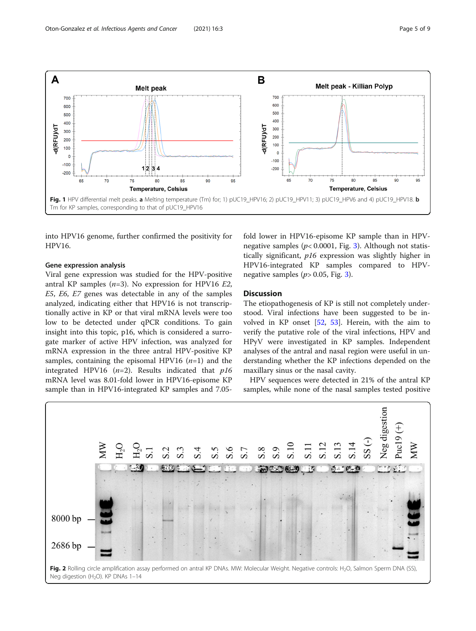<span id="page-4-0"></span>

into HPV16 genome, further confirmed the positivity for HPV16.

# Gene expression analysis

Viral gene expression was studied for the HPV-positive antral KP samples  $(n=3)$ . No expression for HPV16 E2, E5, E6, E7 genes was detectable in any of the samples analyzed, indicating either that HPV16 is not transcriptionally active in KP or that viral mRNA levels were too low to be detected under qPCR conditions. To gain insight into this topic, p16, which is considered a surrogate marker of active HPV infection, was analyzed for mRNA expression in the three antral HPV-positive KP samples, containing the episomal HPV16  $(n=1)$  and the integrated HPV16 ( $n=2$ ). Results indicated that  $p16$ mRNA level was 8.01-fold lower in HPV16-episome KP sample than in HPV16-integrated KP samples and 7.05fold lower in HPV16-episome KP sample than in HPVnegative samples ( $p$ < 0.0001, Fig. [3](#page-5-0)). Although not statistically significant, p16 expression was slightly higher in HPV16-integrated KP samples compared to HPVnegative samples ( $p$ > 0.05, Fig. [3](#page-5-0)).

# **Discussion**

The etiopathogenesis of KP is still not completely understood. Viral infections have been suggested to be involved in KP onset [[52](#page-7-0), [53](#page-7-0)]. Herein, with the aim to verify the putative role of the viral infections, HPV and HPyV were investigated in KP samples. Independent analyses of the antral and nasal region were useful in understanding whether the KP infections depended on the maxillary sinus or the nasal cavity.

HPV sequences were detected in 21% of the antral KP samples, while none of the nasal samples tested positive

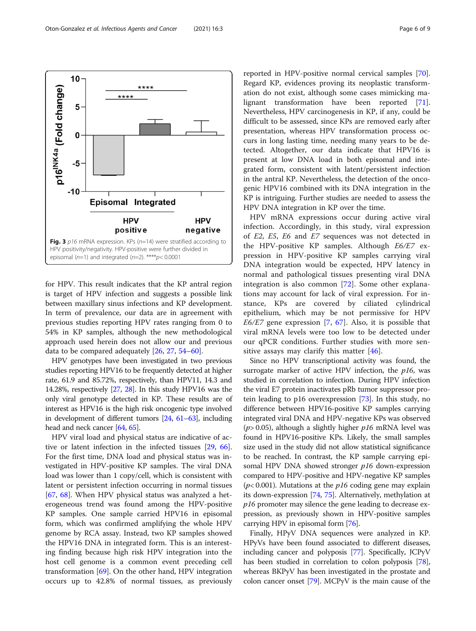<span id="page-5-0"></span>

for HPV. This result indicates that the KP antral region is target of HPV infection and suggests a possible link between maxillary sinus infections and KP development. In term of prevalence, our data are in agreement with previous studies reporting HPV rates ranging from 0 to 54% in KP samples, although the new methodological approach used herein does not allow our and previous data to be compared adequately [[26](#page-7-0), [27](#page-7-0), [54](#page-7-0)–[60\]](#page-7-0).

HPV genotypes have been investigated in two previous studies reporting HPV16 to be frequently detected at higher rate, 61.9 and 85.72%, respectively, than HPV11, 14.3 and 14.28%, respectively [\[27,](#page-7-0) [28\]](#page-7-0). In this study HPV16 was the only viral genotype detected in KP. These results are of interest as HPV16 is the high risk oncogenic type involved in development of different tumors [\[24,](#page-7-0) [61](#page-7-0)–[63](#page-7-0)], including head and neck cancer [\[64,](#page-7-0) [65\]](#page-8-0).

HPV viral load and physical status are indicative of active or latent infection in the infected tissues [[29,](#page-7-0) [66](#page-8-0)]. For the first time, DNA load and physical status was investigated in HPV-positive KP samples. The viral DNA load was lower than 1 copy/cell, which is consistent with latent or persistent infection occurring in normal tissues [[67,](#page-8-0) [68](#page-8-0)]. When HPV physical status was analyzed a heterogeneous trend was found among the HPV-positive KP samples. One sample carried HPV16 in episomal form, which was confirmed amplifying the whole HPV genome by RCA assay. Instead, two KP samples showed the HPV16 DNA in integrated form. This is an interesting finding because high risk HPV integration into the host cell genome is a common event preceding cell transformation [[69\]](#page-8-0). On the other hand, HPV integration occurs up to 42.8% of normal tissues, as previously

reported in HPV-positive normal cervical samples [\[70](#page-8-0)]. Regard KP, evidences proving its neoplastic transformation do not exist, although some cases mimicking malignant transformation have been reported [\[71](#page-8-0)]. Nevertheless, HPV carcinogenesis in KP, if any, could be difficult to be assessed, since KPs are removed early after presentation, whereas HPV transformation process occurs in long lasting time, needing many years to be detected. Altogether, our data indicate that HPV16 is present at low DNA load in both episomal and integrated form, consistent with latent/persistent infection in the antral KP. Nevertheless, the detection of the oncogenic HPV16 combined with its DNA integration in the KP is intriguing. Further studies are needed to assess the HPV DNA integration in KP over the time.

HPV mRNA expressions occur during active viral infection. Accordingly, in this study, viral expression of E2, E5, E6 and E7 sequences was not detected in the HPV-positive KP samples. Although E6/E7 expression in HPV-positive KP samples carrying viral DNA integration would be expected, HPV latency in normal and pathological tissues presenting viral DNA integration is also common [[72\]](#page-8-0). Some other explanations may account for lack of viral expression. For instance, KPs are covered by ciliated cylindrical epithelium, which may be not permissive for HPV  $E6/E7$  gene expression [\[7,](#page-6-0) [67\]](#page-8-0). Also, it is possible that viral mRNA levels were too low to be detected under our qPCR conditions. Further studies with more sen-sitive assays may clarify this matter [[46\]](#page-7-0).

Since no HPV transcriptional activity was found, the surrogate marker of active HPV infection, the  $p16$ , was studied in correlation to infection. During HPV infection the viral E7 protein inactivates pRb tumor suppressor protein leading to p16 overexpression [\[73\]](#page-8-0). In this study, no difference between HPV16-positive KP samples carrying integrated viral DNA and HPV-negative KPs was observed ( $p$ > 0.05), although a slightly higher  $p16$  mRNA level was found in HPV16-positive KPs. Likely, the small samples size used in the study did not allow statistical significance to be reached. In contrast, the KP sample carrying episomal HPV DNA showed stronger p16 down-expression compared to HPV-positive and HPV-negative KP samples ( $p$ < 0.001). Mutations at the  $p16$  coding gene may explain its down-expression [\[74,](#page-8-0) [75\]](#page-8-0). Alternatively, methylation at p16 promoter may silence the gene leading to decrease expression, as previously shown in HPV-positive samples carrying HPV in episomal form [[76](#page-8-0)].

Finally, HPyV DNA sequences were analyzed in KP. HPyVs have been found associated to different diseases, including cancer and polyposis [\[77\]](#page-8-0). Specifically, JCPyV has been studied in correlation to colon polyposis [[78](#page-8-0)], whereas BKPyV has been investigated in the prostate and colon cancer onset [\[79](#page-8-0)]. MCPyV is the main cause of the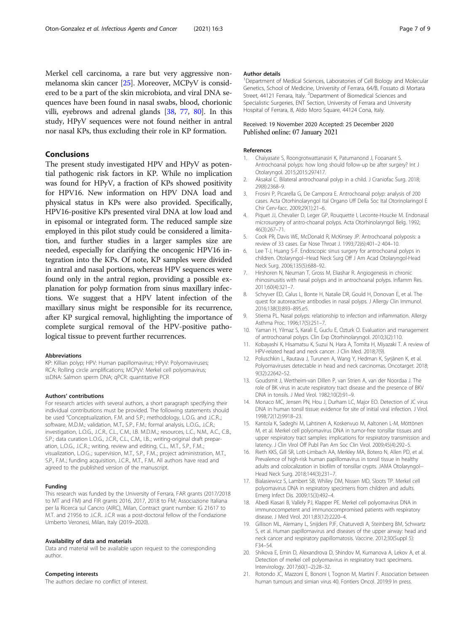<span id="page-6-0"></span>Merkel cell carcinoma, a rare but very aggressive nonmelanoma skin cancer [[25\]](#page-7-0). Moreover, MCPyV is considered to be a part of the skin microbiota, and viral DNA sequences have been found in nasal swabs, blood, chorionic villi, eyebrows and adrenal glands [[38](#page-7-0), [77](#page-8-0), [80](#page-8-0)]. In this study, HPyV sequences were not found neither in antral nor nasal KPs, thus excluding their role in KP formation.

## Conclusions

The present study investigated HPV and HPyV as potential pathogenic risk factors in KP. While no implication was found for HPyV, a fraction of KPs showed positivity for HPV16. New information on HPV DNA load and physical status in KPs were also provided. Specifically, HPV16-positive KPs presented viral DNA at low load and in episomal or integrated form. The reduced sample size employed in this pilot study could be considered a limitation, and further studies in a larger samples size are needed, especially for clarifying the oncogenic HPV16 integration into the KPs. Of note, KP samples were divided in antral and nasal portions, whereas HPV sequences were found only in the antral region, providing a possible explanation for polyp formation from sinus maxillary infections. We suggest that a HPV latent infection of the maxillary sinus might be responsible for its recurrence, after KP surgical removal, highlighting the importance of complete surgical removal of the HPV-positive pathological tissue to prevent further recurrences.

## Abbreviations

KP: Killian polyp; HPV: Human papillomavirus; HPyV: Polyomaviruses; RCA: Rolling circle amplifications; MCPyV: Merkel cell polyomavirus; ssDNA: Salmon sperm DNA; qPCR: quantitative PCR

#### Authors' contributions

For research articles with several authors, a short paragraph specifying their individual contributions must be provided. The following statements should be used "Conceptualization, F.M. and S.P.; methodology, L.O.G. and J.C.R..; software, M.D.M.; validation, M.T., S.P., F.M.; formal analysis, L.O.G., J.C.R.; investigation, L.O.G., J.C.R., C.L., C.M., I.B. M.D.M.,; resources, L.C., N.M., A.C., C.B., S.P.; data curation L.O.G., J.C.R., C.L., C.M., I.B..; writing-original draft preparation, L.O.G., J.C.R..; writing, review and editing, C.L., M.T., S.P., F.M..; visualization, L.O.G..; supervision, M.T., S.P., F.M..; project administration, M.T., S.P., F.M..; funding acquisition, J.C.R., M.T., F.M.. All authors have read and agreed to the published version of the manuscript.

#### Funding

This research was funded by the University of Ferrara, FAR grants (2017/2018 to MT and FM) and FIR grants 2016, 2017, 2018 to FM; Associazione Italiana per la Ricerca sul Cancro (AIRC), Milan, Contract grant number: IG 21617 to M.T. and 21956 to J.C.R.. J.C.R was a post-doctoral fellow of the Fondazione Umberto Veronesi, Milan, Italy (2019–2020).

#### Availability of data and materials

Data and material will be available upon request to the corresponding author.

#### Competing interests

The authors declare no conflict of interest.

#### Author details

<sup>1</sup>Department of Medical Sciences, Laboratories of Cell Biology and Molecular Genetics, School of Medicine, University of Ferrara, 64/B, Fossato di Mortara Street, 44121 Ferrara, Italy. <sup>2</sup>Department of Biomedical Sciences and Specialistic Surgeries, ENT Section, University of Ferrara and University Hospital of Ferrara, 8, Aldo Moro Square, 44124 Cona, Italy.

## Received: 19 November 2020 Accepted: 25 December 2020 Published online: 07 January 2021

#### References

- 1. Chaiyasate S, Roongrotwattanasiri K, Patumanond J, Fooanant S. Antrochoanal polyps: how long should follow-up be after surgery? Int J Otolaryngol. 2015;2015:297417.
- 2. Aksakal C. Bilateral antrochoanal polyp in a child. J Craniofac Surg. 2018; 29(8):2368–9.
- 3. Frosini P, Picarella G, De Campora E. Antrochoanal polyp: analysis of 200 cases. Acta Otorhinolaryngol Ital Organo Uff Della Soc Ital Otorinolaringol E Chir Cerv-facc. 2009;29(1):21–6.
- 4. Piquet JJ, Chevalier D, Leger GP, Rouquette I, Leconte-Houcke M. Endonasal microsurgery of antro-choanal polyps. Acta Otorhinolaryngol Belg. 1992; 46(3):267–71.
- 5. Cook PR, Davis WE, McDonald R, McKinsey JP. Antrochoanal polyposis: a review of 33 cases. Ear Nose Throat J. 1993;72(6):401–2 404–10.
- 6. Lee T-J, Huang S-F. Endoscopic sinus surgery for antrochoanal polyps in children. Otolaryngol--Head Neck Surg Off J Am Acad Otolaryngol-Head Neck Surg. 2006;135(5):688–92.
- 7. Hirshoren N, Neuman T, Gross M, Eliashar R. Angiogenesis in chronic rhinosinusitis with nasal polyps and in antrochoanal polyps. Inflamm Res. 2011;60(4):321–7.
- 8. Schryver ED, Calus L, Bonte H, Natalie DR, Gould H, Donovan E, et al. The quest for autoreactive antibodies in nasal polyps. J Allergy Clin Immunol. 2016;138(3):893–895.e5.
- 9. Stierna PL. Nasal polyps: relationship to infection and inflammation. Allergy Asthma Proc. 1996;17(5):251–7.
- 10. Yaman H, Yilmaz S, Karali E, Guclu E, Ozturk O. Evaluation and management of antrochoanal polyps. Clin Exp Otorhinolaryngol. 2010;3(2):110.
- 11. Kobayashi K, Hisamatsu K, Suzui N, Hara A, Tomita H, Miyazaki T. A review of HPV-related head and neck cancer. J Clin Med. 2018;7(9).
- 12. Poluschkin L, Rautava J, Turunen A, Wang Y, Hedman K, Syrjänen K, et al. Polyomaviruses detectable in head and neck carcinomas. Oncotarget. 2018; 9(32):22642–52.
- 13. Goudsmit J, Wertheim-van Dillen P, van Strien A, van der Noordaa J. The role of BK virus in acute respiratory tract disease and the presence of BKV DNA in tonsils. J Med Virol. 1982;10(2):91–9.
- 14. Monaco MC, Jensen PN, Hou J, Durham LC, Major EO. Detection of JC virus DNA in human tonsil tissue: evidence for site of initial viral infection. J Virol. 1998;72(12):9918–23.
- 15. Kantola K, Sadeghi M, Lahtinen A, Koskenvuo M, Aaltonen L-M, Möttönen M, et al. Merkel cell polyomavirus DNA in tumor-free tonsillar tissues and upper respiratory tract samples: implications for respiratory transmission and latency. J Clin Virol Off Publ Pan Am Soc Clin Virol. 2009;45(4):292–5.
- 16. Rieth KKS, Gill SR, Lott-Limbach AA, Merkley MA, Botero N, Allen PD, et al. Prevalence of high-risk human papillomavirus in tonsil tissue in healthy adults and colocalization in biofilm of tonsillar crypts. JAMA Otolaryngol-- Head Neck Surg. 2018;144(3):231–7.
- 17. Bialasiewicz S, Lambert SB, Whiley DM, Nissen MD, Sloots TP. Merkel cell polyomavirus DNA in respiratory specimens from children and adults. Emerg Infect Dis. 2009;15(3):492–4.
- 18. Abedi Kiasari B, Vallely PJ, Klapper PE. Merkel cell polyomavirus DNA in immunocompetent and immunocompromised patients with respiratory disease. J Med Virol. 2011;83(12):2220–4.
- 19. Gillison ML, Alemany L, Snijders PJF, Chaturvedi A, Steinberg BM, Schwartz S, et al. Human papillomavirus and diseases of the upper airway: head and neck cancer and respiratory papillomatosis. Vaccine. 2012;30(Suppl 5): F34–54.
- 20. Shikova E, Emin D, Alexandrova D, Shindov M, Kumanova А, Lekov A, et al. Detection of merkel cell polyomavirus in respiratory tract specimens. Intervirology. 2017;60(1–2):28–32.
- 21. Rotondo JC, Mazzoni E, Bononi I, Tognon M, Martini F. Association between human tumours and simian virus 40. Fontiers Oncol. 2019;9 In press.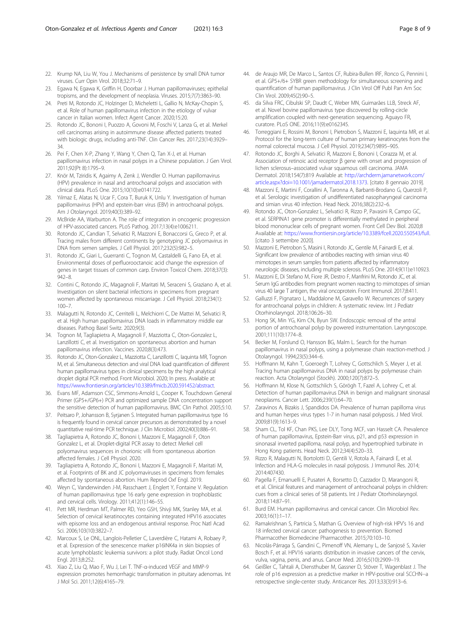- <span id="page-7-0"></span>22. Krump NA, Liu W, You J. Mechanisms of persistence by small DNA tumor viruses. Curr Opin Virol. 2018;32:71–9.
- 23. Egawa N, Egawa K, Griffin H, Doorbar J. Human papillomaviruses; epithelial tropisms, and the development of neoplasia. Viruses. 2015;7(7):3863–90.
- 24. Preti M, Rotondo JC, Holzinger D, Micheletti L, Gallio N, McKay-Chopin S, et al. Role of human papillomavirus infection in the etiology of vulvar cancer in Italian women. Infect Agent Cancer. 2020;15:20.
- 25. Rotondo JC, Bononi I, Puozzo A, Govoni M, Foschi V, Lanza G, et al. Merkel cell carcinomas arising in autoimmune disease affected patients treated with biologic drugs, including anti-TNF. Clin Cancer Res. 2017;23(14):3929– 34.
- 26. Pei F, Chen X-P, Zhang Y, Wang Y, Chen Q, Tan X-J, et al. Human papillomavirus infection in nasal polyps in a Chinese population. J Gen Virol. 2011;92(Pt 8):1795–9.
- 27. Knör M, Tziridis K, Agaimy A, Zenk J, Wendler O. Human papillomavirus (HPV) prevalence in nasal and antrochoanal polyps and association with clinical data. PLoS One. 2015;10(10):e0141722.
- 28. Yılmaz E, Alatas N, Ucar F, Cora T, Buruk K, Unlu Y. Investigation of human papillomavirus (HPV) and epstein-barr virus (EBV) in antrochoanal polyps. Am J Otolaryngol. 2019;40(3):389–92.
- 29. McBride AA, Warburton A. The role of integration in oncogenic progression of HPV-associated cancers. PLoS Pathog. 2017;13(4):e1006211.
- 30. Rotondo JC, Candian T, Selvatici R, Mazzoni E, Bonaccorsi G, Greco P, et al. Tracing males from different continents by genotyping JC polyomavirus in DNA from semen samples. J Cell Physiol. 2017;232(5):982–5.
- 31. Rotondo JC, Giari L, Guerranti C, Tognon M, Castaldelli G, Fano EA, et al. Environmental doses of perfluorooctanoic acid change the expression of genes in target tissues of common carp. Environ Toxicol Chem. 2018;37(3): 942–8.
- 32. Contini C, Rotondo JC, Magagnoli F, Maritati M, Seraceni S, Graziano A, et al. Investigation on silent bacterial infections in specimens from pregnant women affected by spontaneous miscarriage. J Cell Physiol. 2018;234(1): 100–7.
- 33. Malagutti N, Rotondo JC, Cerritelli L, Melchiorri C, De Mattei M, Selvatici R, et al. High human papillomavirus DNA loads in inflammatory middle ear diseases. Pathog Basel Switz. 2020;9(3).
- 34. Tognon M, Tagliapietra A, Magagnoli F, Mazziotta C, Oton-Gonzalez L, Lanzillotti C, et al. Investigation on spontaneous abortion and human papillomavirus infection. Vaccines. 2020;8(3):473.
- 35. Rotondo JC, Oton-Gonzalez L, Mazziotta C, Lanzillotti C, Iaquinta MR, Tognon M, et al. Simultaneous detection and viral DNA load quantification of different human papillomavirus types in clinical specimens by the high analytical droplet digital PCR method. Front Microbiol. 2020; In press. Available at: [https://www.frontiersin.org/articles/10.3389/fmicb.2020.591452/abstract.](https://www.frontiersin.org/articles/10.3389/fmicb.2020.591452/abstract)
- 36. Evans MF, Adamson CSC, Simmons-Arnold L, Cooper K. Touchdown General Primer (GP5+/GP6+) PCR and optimized sample DNA concentration support the sensitive detection of human papillomavirus. BMC Clin Pathol. 2005;5:10.
- 37. Peitsaro P, Johansson B, Syrjanen S. Integrated human papillomavirus type 16 is frequently found in cervical cancer precursors as demonstrated by a novel quantitative real-time PCR technique. J Clin Microbiol. 2002;40(3):886–91.
- 38. Tagliapietra A, Rotondo JC, Bononi I, Mazzoni E, Magagnoli F, Oton Gonzalez L, et al. Droplet-digital PCR assay to detect Merkel cell polyomavirus sequences in chorionic villi from spontaneous abortion affected females. J Cell Physiol. 2020.
- 39. Tagliapietra A, Rotondo JC, Bononi I, Mazzoni E, Magagnoli F, Maritati M, et al. Footprints of BK and JC polyomaviruses in specimens from females affected by spontaneous abortion. Hum Reprod Oxf Engl. 2019.
- 40. Weyn C, Vanderwinden J-M, Rasschaert J, Englert Y, Fontaine V. Regulation of human papillomavirus type 16 early gene expression in trophoblastic and cervical cells. Virology. 2011;412(1):146–55.
- 41. Pett MR, Herdman MT, Palmer RD, Yeo GSH, Shivji MK, Stanley MA, et al. Selection of cervical keratinocytes containing integrated HPV16 associates with episome loss and an endogenous antiviral response. Proc Natl Acad Sci. 2006;103(10):3822–7.
- 42. Marcoux S, Le ONL, Langlois-Pelletier C, Laverdière C, Hatami A, Robaey P, et al. Expression of the senescence marker p16INK4a in skin biopsies of acute lymphoblastic leukemia survivors: a pilot study. Radiat Oncol Lond Engl. 2013;8:252.
- 43. Xiao Z, Liu Q, Mao F, Wu J, Lei T. TNF-α-induced VEGF and MMP-9 expression promotes hemorrhagic transformation in pituitary adenomas. Int J Mol Sci. 2011;12(6):4165–79.
- 44. de Araujo MR, De Marco L, Santos CF, Rubira-Bullen IRF, Ronco G, Pennini I, et al. GP5+/6+ SYBR green methodology for simultaneous screening and quantification of human papillomavirus. J Clin Virol Off Publ Pan Am Soc Clin Virol. 2009;45(2):90–5.
- 45. da Silva FRC, Cibulski SP, Daudt C, Weber MN, Guimarães LLB, Streck AF, et al. Novel bovine papillomavirus type discovered by rolling-circle amplification coupled with next-generation sequencing. Aguayo FR, curatore. PLoS ONE. 2016;11(9):e0162345.
- 46. Torreggiani E, Rossini M, Bononi I, Pietrobon S, Mazzoni E, Iaquinta MR, et al. Protocol for the long-term culture of human primary keratinocytes from the normal colorectal mucosa. J Cell Physiol. 2019;234(7):9895–905.
- 47. Rotondo JC, Borghi A, Selvatici R, Mazzoni E, Bononi I, Corazza M, et al. Association of retinoic acid receptor β gene with onset and progression of lichen sclerosus–associated vulvar squamous cell carcinoma. JAMA Dermatol. 2018;154(7):819 Available at: [http://archderm.jamanetwork.com/](http://archderm.jamanetwork.com/article.aspx?doi=10.1001/jamadermatol.2018.1373) [article.aspx?doi=10.1001/jamadermatol.2018.1373.](http://archderm.jamanetwork.com/article.aspx?doi=10.1001/jamadermatol.2018.1373) [citato 8 gennaio 2019].
- 48. Mazzoni E, Martini F, Corallini A, Taronna A, Barbanti-Brodano G, Querzoli P, et al. Serologic investigation of undifferentiated nasopharyngeal carcinoma and simian virus 40 infection. Head Neck. 2016;38(2):232–6.
- 49. Rotondo JC, Oton-Gonzalez L, Selvatici R, Rizzo P, Pavasini R, Campo GC, et al. SERPINA1 gene promoter is differentially methylated in peripheral blood mononuclear cells of pregnant women. Front Cell Dev Biol. 2020;8 Available at: <https://www.frontiersin.org/article/10.3389/fcell.2020.550543/full>. [citato 3 settembre 2020].
- 50. Mazzoni E, Pietrobon S, Masini I, Rotondo JC, Gentile M, Fainardi E, et al. Significant low prevalence of antibodies reacting with simian virus 40 mimotopes in serum samples from patients affected by inflammatory neurologic diseases, including multiple sclerosis. PLoS One. 2014;9(11):e110923.
- 51. Mazzoni E, Di Stefano M, Fiore JR, Destro F, Manfrini M, Rotondo JC, et al. Serum IgG antibodies from pregnant women reacting to mimotopes of simian virus 40 large T antigen, the viral oncoprotein. Front Immunol. 2017;8:411.
- 52. Galluzzi F, Pignataro L, Maddalone M, Garavello W. Recurrences of surgery for antrochoanal polyps in children: A systematic review. Int J Pediatr Otorhinolaryngol. 2018;106:26–30.
- 53. Hong SK, Min YG, Kim CN, Byun SW. Endoscopic removal of the antral portion of antrochoanal polyp by powered instrumentation. Laryngoscope. 2001;111(10):1774–8.
- 54. Becker M, Forslund O, Hansson BG, Malm L. Search for the human papillomavirus in nasal polyps, using a polymerase chain reaction-method. J Otolaryngol. 1994;23(5):344–6.
- 55. Hoffmann M, Kahn T, Goeroegh T, Lohrey C, Gottschlich S, Meyer J, et al. Tracing human papillomavirus DNA in nasal polyps by polymerase chain reaction. Acta Otolaryngol (Stockh). 2000;120(7):872–5.
- 56. Hoffmann M, Klose N, Gottschlich S, Görögh T, Fazel A, Lohrey C, et al. Detection of human papillomavirus DNA in benign and malignant sinonasal neoplasms. Cancer Lett. 2006;239(1):64–70.
- 57. Zaravinos A, Bizakis J, Spandidos DA. Prevalence of human papilloma virus and human herpes virus types 1-7 in human nasal polyposis. J Med Virol. 2009;81(9):1613–9.
- Sham CL, Tol KF, Chan PKS, Lee DLY, Tong MCF, van Hasselt CA. Prevalence of human papillomavirus, Epstein-Barr virus, p21, and p53 expression in sinonasal inverted papilloma, nasal polyp, and hypertrophied turbinate in Hong Kong patients. Head Neck. 2012;34(4):520–33.
- 59. Rizzo R, Malagutti N, Bortolotti D, Gentili V, Rotola A, Fainardi E, et al. Infection and HLA-G molecules in nasal polyposis. J Immunol Res. 2014; 2014:407430.
- 60. Pagella F, Emanuelli E, Pusateri A, Borsetto D, Cazzador D, Marangoni R, et al. Clinical features and management of antrochoanal polyps in children: cues from a clinical series of 58 patients. Int J Pediatr Otorhinolaryngol. 2018;114:87–91.
- 61. Burd EM. Human papillomavirus and cervical cancer. Clin Microbiol Rev. 2003;16(1):1–17.
- 62. Ramakrishnan S, Partricia S, Mathan G. Overview of high-risk HPV's 16 and 18 infected cervical cancer: pathogenesis to prevention. Biomed Pharmacother Biomedecine Pharmacother. 2015;70:103–10.
- 63. Nicolás-Párraga S, Gandini C, Pimenoff VN, Alemany L, de Sanjosé S, Xavier Bosch F, et al. HPV16 variants distribution in invasive cancers of the cervix, vulva, vagina, penis, and anus. Cancer Med. 2016;5(10):2909–19.
- 64. Geißler C, Tahtali A, Diensthuber M, Gassner D, Stöver T, Wagenblast J. The role of p16 expression as a predictive marker in HPV-positive oral SCCHN--a retrospective single-center study. Anticancer Res. 2013;33(3):913–6.